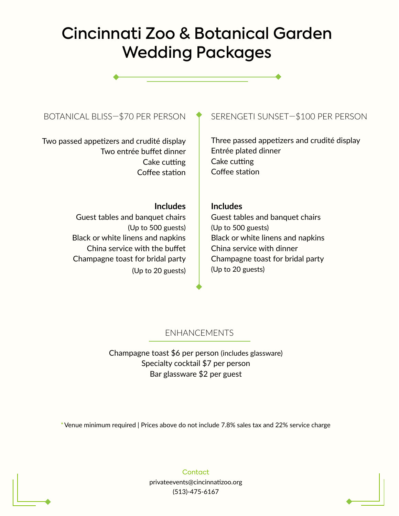# Cincinnati Zoo & Botanical Garden Wedding Packages

Two passed appetizers and crudité display Two entrée buffet dinner Cake cutting Coffee station

# BOTANICAL BLISS-\$70 PER PERSON  $\bullet$  SERENGETI SUNSET-\$100 PER PERSON

Three passed appetizers and crudité display Entrée plated dinner Cake cutting Coffee station

### **Includes**

Guest tables and banquet chairs (Up to 500 guests) Black or white linens and napkins China service with the buffet Champagne toast for bridal party (Up to 20 guests)

### **Includes**

Guest tables and banquet chairs (Up to 500 guests) Black or white linens and napkins China service with dinner Champagne toast for bridal party (Up to 20 guests)

### ENHANCEMENTS

Champagne toast \$6 per person (includes glassware) Specialty cocktail \$7 per person Bar glassware \$2 per guest

\* Venue minimum required | Prices above do not include 7.8% sales tax and 22% service charge

**Contact** privateevents@cincinnatizoo.org (513)-475-6167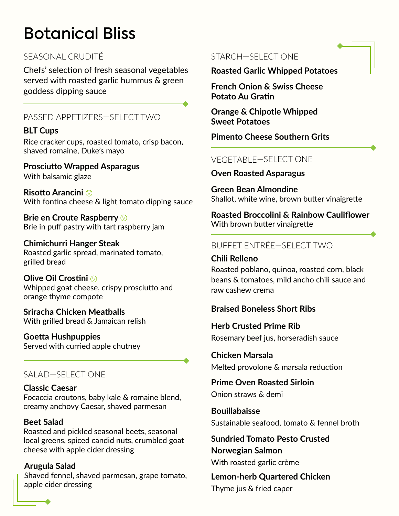# Botanical Bliss

# SEASONAL CRUDITÉ

Chefs' selection of fresh seasonal vegetables served with roasted garlic hummus & green goddess dipping sauce

# PASSED APPETIZERS—SELECT TWO

# **BLT Cups**

Rice cracker cups, roasted tomato, crisp bacon, shaved romaine, Duke's mayo

**Prosciutto Wrapped Asparagus** With balsamic glaze

**Risotto Arancini**  V With fontina cheese & light tomato dipping sauce

**Brie en Croute Raspberry** V Brie in puff pastry with tart raspberry jam

**Chimichurri Hanger Steak** Roasted garlic spread, marinated tomato, grilled bread

**Olive Oil Crostini** VWhipped goat cheese, crispy prosciutto and orange thyme compote

**Sriracha Chicken Meatballs** With grilled bread & Jamaican relish

**Goetta Hushpuppies** Served with curried apple chutney

# SALAD—SELECT ONE

### **Classic Caesar**

Focaccia croutons, baby kale & romaine blend, creamy anchovy Caesar, shaved parmesan

### **Beet Salad**

Roasted and pickled seasonal beets, seasonal local greens, spiced candid nuts, crumbled goat cheese with apple cider dressing

**Arugula Salad** Shaved fennel, shaved parmesan, grape tomato, apple cider dressing

# STARCH—SELECT ONE

**Roasted Garlic Whipped Potatoes**

**French Onion & Swiss Cheese Potato Au Gratin**

**Orange & Chipotle Whipped Sweet Potatoes**

**Pimento Cheese Southern Grits**

# VEGETABLE—SELECT ONE

### **Oven Roasted Asparagus**

**Green Bean Almondine** Shallot, white wine, brown butter vinaigrette

**Roasted Broccolini & Rainbow Cauliflower** With brown butter vinaigrette

# BUFFET ENTRÉE—SELECT TWO

**Chili Relleno**  Roasted poblano, quinoa, roasted corn, black beans & tomatoes, mild ancho chili sauce and raw cashew crema

# **Braised Boneless Short Ribs**

**Herb Crusted Prime Rib** Rosemary beef jus, horseradish sauce

**Chicken Marsala** Melted provolone & marsala reduction

**Prime Oven Roasted Sirloin** Onion straws & demi

**Bouillabaisse** Sustainable seafood, tomato & fennel broth

**Sundried Tomato Pesto Crusted Norwegian Salmon** With roasted garlic crème

**Lemon-herb Quartered Chicken** Thyme jus & fried caper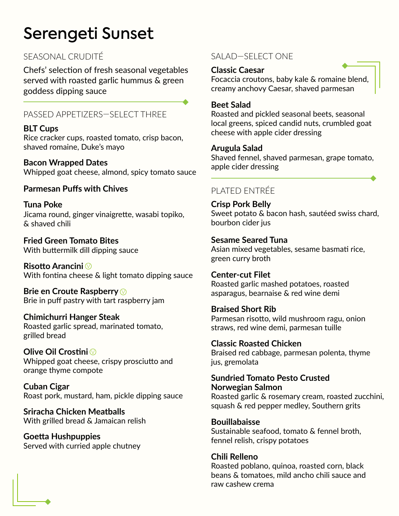# Serengeti Sunset

Chefs' selection of fresh seasonal vegetables served with roasted garlic hummus & green goddess dipping sauce

# PASSED APPETIZERS—SELECT THREE

# **BLT Cups**

Rice cracker cups, roasted tomato, crisp bacon, shaved romaine, Duke's mayo

**Bacon Wrapped Dates** Whipped goat cheese, almond, spicy tomato sauce

# **Parmesan Puffs with Chives**

**Tuna Poke** Jicama round, ginger vinaigrette, wasabi topiko, & shaved chili

**Fried Green Tomato Bites** With buttermilk dill dipping sauce

**Risotto Arancini** V With fontina cheese & light tomato dipping sauce

**Brie en Croute Raspberry** V Brie in puff pastry with tart raspberry jam

### **Chimichurri Hanger Steak** Roasted garlic spread, marinated tomato, grilled bread

**Olive Oil Crostini** VWhipped goat cheese, crispy prosciutto and orange thyme compote

**Cuban Cigar** Roast pork, mustard, ham, pickle dipping sauce

**Sriracha Chicken Meatballs** With grilled bread & Jamaican relish

**Goetta Hushpuppies** Served with curried apple chutney

# SEASONAL CRUDITÉ SALAD—SELECT ONE

### **Classic Caesar**

Focaccia croutons, baby kale & romaine blend, creamy anchovy Caesar, shaved parmesan

### **Beet Salad**

Roasted and pickled seasonal beets, seasonal local greens, spiced candid nuts, crumbled goat cheese with apple cider dressing

### **Arugula Salad**

Shaved fennel, shaved parmesan, grape tomato, apple cider dressing

# PLATED ENTRÉE

**Crisp Pork Belly** Sweet potato & bacon hash, sautéed swiss chard, bourbon cider jus

### **Sesame Seared Tuna** Asian mixed vegetables, sesame basmati rice, green curry broth

**Center-cut Filet** Roasted garlic mashed potatoes, roasted asparagus, bearnaise & red wine demi

**Braised Short Rib** Parmesan risotto, wild mushroom ragu, onion straws, red wine demi, parmesan tuille

**Classic Roasted Chicken** Braised red cabbage, parmesan polenta, thyme jus, gremolata

### **Sundried Tomato Pesto Crusted Norwegian Salmon**

Roasted garlic & rosemary cream, roasted zucchini, squash & red pepper medley, Southern grits

**Bouillabaisse** Sustainable seafood, tomato & fennel broth, fennel relish, crispy potatoes

**Chili Relleno** Roasted poblano, quinoa, roasted corn, black beans & tomatoes, mild ancho chili sauce and raw cashew crema